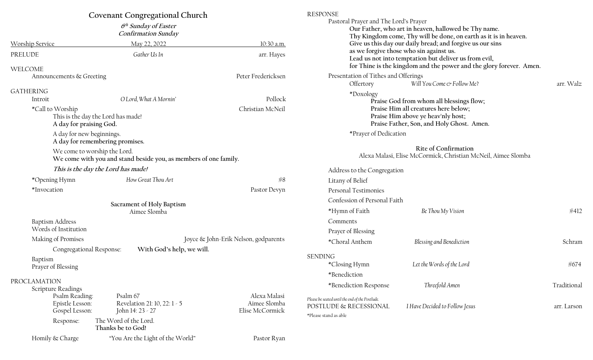|                                                                                                  | Covenant Congregational Church                               |                                                 | <b>RESPONSE</b>                                                                                                                                                                                                                      |                                |             |
|--------------------------------------------------------------------------------------------------|--------------------------------------------------------------|-------------------------------------------------|--------------------------------------------------------------------------------------------------------------------------------------------------------------------------------------------------------------------------------------|--------------------------------|-------------|
| $6th$ Sunday of Easter<br><b>Confirmation Sunday</b>                                             |                                                              |                                                 | Pastoral Prayer and The Lord's Prayer<br>Our Father, who art in heaven, hallowed be Thy name.<br>Thy Kingdom come, Thy will be done, on earth as it is in heaven.                                                                    |                                |             |
| Worship Service                                                                                  | May 22, 2022                                                 | 10:30 a.m.                                      | Give us this day our daily bread; and forgive us our sins<br>as we forgive those who sin against us.<br>Lead us not into temptation but deliver us from evil,<br>for Thine is the kingdom and the power and the glory forever. Amen. |                                |             |
| PRELUDE<br>WELCOME                                                                               | Gather Us In                                                 | arr. Hayes                                      |                                                                                                                                                                                                                                      |                                |             |
| Announcements & Greeting                                                                         |                                                              | Peter Fredericksen                              | Presentation of Tithes and Offerings<br>Offertory                                                                                                                                                                                    | Will You Come & Follow Me?     | arr. Walz   |
| <b>GATHERING</b>                                                                                 |                                                              |                                                 | *Doxology                                                                                                                                                                                                                            |                                |             |
| Introit                                                                                          | O Lord, What A Mornin'                                       | Pollock                                         | Praise God from whom all blessings flow;                                                                                                                                                                                             |                                |             |
| *Call to Worship<br>This is the day the Lord has made!<br>A day for praising God.                |                                                              | Christian McNeil                                | Praise Him all creatures here below;<br>Praise Him above ye heav'nly host;<br>Praise Father, Son, and Holy Ghost. Amen.                                                                                                              |                                |             |
| A day for new beginnings.<br>A day for remembering promises.                                     |                                                              |                                                 | *Prayer of Dedication                                                                                                                                                                                                                |                                |             |
| We come to worship the Lord.<br>We come with you and stand beside you, as members of one family. |                                                              |                                                 | Rite of Confirmation<br>Alexa Malasi, Elise McCormick, Christian McNeil, Aimee Slomba                                                                                                                                                |                                |             |
| This is the day the Lord has made!                                                               |                                                              |                                                 | Address to the Congregation                                                                                                                                                                                                          |                                |             |
| *Opening Hymn                                                                                    | How Great Thou Art                                           | #8                                              | Litany of Belief                                                                                                                                                                                                                     |                                |             |
| *Invocation                                                                                      |                                                              | Pastor Devyn                                    | Personal Testimonies                                                                                                                                                                                                                 |                                |             |
|                                                                                                  |                                                              |                                                 | Confession of Personal Faith                                                                                                                                                                                                         |                                |             |
|                                                                                                  | Sacrament of Holy Baptism<br>Aimee Slomba                    |                                                 | *Hymn of Faith                                                                                                                                                                                                                       | Be Thou My Vision              | #412        |
| <b>Baptism Address</b>                                                                           |                                                              |                                                 | Comments                                                                                                                                                                                                                             |                                |             |
| Words of Institution                                                                             |                                                              |                                                 | Prayer of Blessing                                                                                                                                                                                                                   |                                |             |
| Making of Promises                                                                               |                                                              | Joyce & John-Erik Nelson, godparents            |                                                                                                                                                                                                                                      | Blessing and Benediction       | Schram      |
| Congregational Response:                                                                         | With God's help, we will.                                    |                                                 | *Choral Anthem                                                                                                                                                                                                                       |                                |             |
| Baptism                                                                                          |                                                              |                                                 | <b>SENDING</b>                                                                                                                                                                                                                       |                                |             |
| Prayer of Blessing                                                                               |                                                              |                                                 | *Closing Hymn                                                                                                                                                                                                                        | Let the Words of the Lord      | #674        |
| PROCLAMATION                                                                                     |                                                              |                                                 | *Benediction                                                                                                                                                                                                                         |                                |             |
| <b>Scripture Readings</b>                                                                        |                                                              |                                                 | *Benediction Response                                                                                                                                                                                                                | Threefold Amen                 | Traditional |
| Psalm Reading:<br>Epistle Lesson:                                                                | Psalm 67<br>Revelation 21: 10, 22: 1 - 5<br>John 14: 23 - 27 | Alexa Malasi<br>Aimee Slomba<br>Elise McCormick | Please be seated until the end of the Postlude.<br>POSTLUDE & RECESSIONAL                                                                                                                                                            | I Have Decided to Follow Jesus | arr. Larson |
| Gospel Lesson:                                                                                   |                                                              |                                                 | *Please stand as able                                                                                                                                                                                                                |                                |             |
| Response:                                                                                        | The Word of the Lord.<br>Thanks be to God!                   |                                                 |                                                                                                                                                                                                                                      |                                |             |
| Homily & Charge                                                                                  | "You Are the Light of the World"                             | Pastor Ryan                                     |                                                                                                                                                                                                                                      |                                |             |